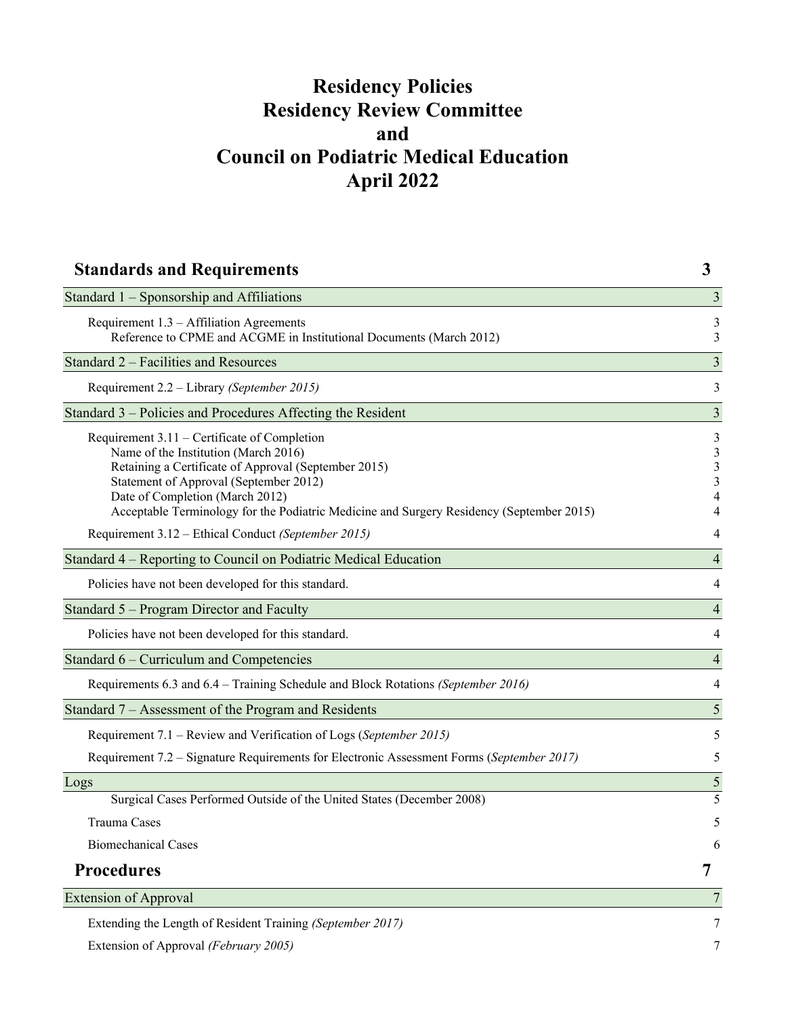# **Residency Policies Residency Review Committee and Council on Podiatric Medical Education April 2022**

| <b>Standards and Requirements</b>                                                                                                                                                                                                                                                                                     | 3                             |
|-----------------------------------------------------------------------------------------------------------------------------------------------------------------------------------------------------------------------------------------------------------------------------------------------------------------------|-------------------------------|
| Standard 1 – Sponsorship and Affiliations                                                                                                                                                                                                                                                                             | 3                             |
| Requirement $1.3 - Affiliation$ Agreements<br>Reference to CPME and ACGME in Institutional Documents (March 2012)                                                                                                                                                                                                     | 3<br>3                        |
| Standard 2 – Facilities and Resources                                                                                                                                                                                                                                                                                 | 3                             |
| Requirement 2.2 - Library (September 2015)                                                                                                                                                                                                                                                                            | 3                             |
| Standard 3 - Policies and Procedures Affecting the Resident                                                                                                                                                                                                                                                           | $\overline{3}$                |
| Requirement 3.11 – Certificate of Completion<br>Name of the Institution (March 2016)<br>Retaining a Certificate of Approval (September 2015)<br>Statement of Approval (September 2012)<br>Date of Completion (March 2012)<br>Acceptable Terminology for the Podiatric Medicine and Surgery Residency (September 2015) | 3<br>$\mathfrak{Z}$<br>3<br>3 |
| Requirement 3.12 - Ethical Conduct (September 2015)                                                                                                                                                                                                                                                                   | 4                             |
| Standard 4 – Reporting to Council on Podiatric Medical Education                                                                                                                                                                                                                                                      | $\overline{4}$                |
| Policies have not been developed for this standard.                                                                                                                                                                                                                                                                   | 4                             |
| Standard 5 – Program Director and Faculty                                                                                                                                                                                                                                                                             | 4                             |
| Policies have not been developed for this standard.                                                                                                                                                                                                                                                                   | 4                             |
| Standard 6 – Curriculum and Competencies                                                                                                                                                                                                                                                                              | $\overline{4}$                |
| Requirements 6.3 and 6.4 – Training Schedule and Block Rotations (September 2016)                                                                                                                                                                                                                                     | 4                             |
| Standard 7 – Assessment of the Program and Residents                                                                                                                                                                                                                                                                  | 5                             |
| Requirement 7.1 – Review and Verification of Logs (September 2015)                                                                                                                                                                                                                                                    | 5                             |
| Requirement 7.2 - Signature Requirements for Electronic Assessment Forms (September 2017)                                                                                                                                                                                                                             | 5                             |
| Logs                                                                                                                                                                                                                                                                                                                  | $\mathfrak{S}$                |
| Surgical Cases Performed Outside of the United States (December 2008)                                                                                                                                                                                                                                                 | 5                             |
| Trauma Cases                                                                                                                                                                                                                                                                                                          | 5                             |
| <b>Biomechanical Cases</b>                                                                                                                                                                                                                                                                                            | 6                             |
| <b>Procedures</b>                                                                                                                                                                                                                                                                                                     | 7                             |
| <b>Extension of Approval</b>                                                                                                                                                                                                                                                                                          | 7                             |
| Extending the Length of Resident Training (September 2017)                                                                                                                                                                                                                                                            | 7                             |
| Extension of Approval (February 2005)                                                                                                                                                                                                                                                                                 | 7                             |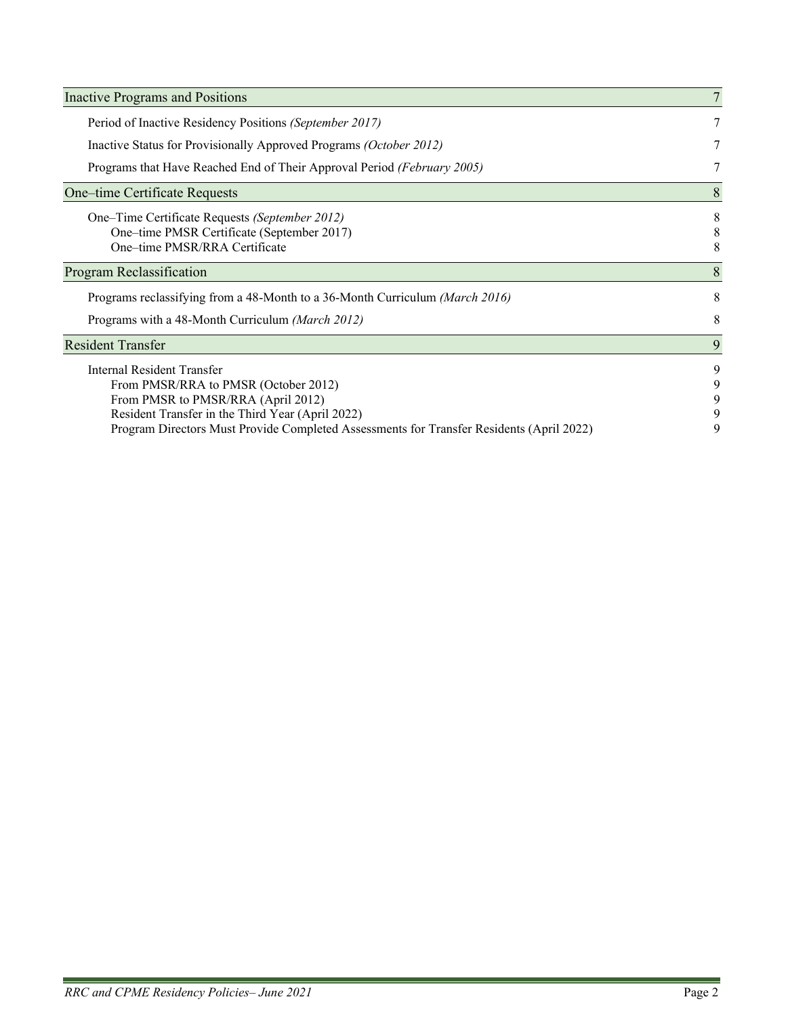| <b>Inactive Programs and Positions</b>                                                                                                                                                                                                                   |                       |
|----------------------------------------------------------------------------------------------------------------------------------------------------------------------------------------------------------------------------------------------------------|-----------------------|
| Period of Inactive Residency Positions (September 2017)                                                                                                                                                                                                  |                       |
| Inactive Status for Provisionally Approved Programs (October 2012)                                                                                                                                                                                       | 7                     |
| Programs that Have Reached End of Their Approval Period (February 2005)                                                                                                                                                                                  | 7                     |
| One–time Certificate Requests                                                                                                                                                                                                                            | 8                     |
| One–Time Certificate Requests (September 2012)<br>One-time PMSR Certificate (September 2017)<br>One-time PMSR/RRA Certificate                                                                                                                            | 8<br>8<br>8           |
| Program Reclassification                                                                                                                                                                                                                                 | 8                     |
| Programs reclassifying from a 48-Month to a 36-Month Curriculum (March 2016)                                                                                                                                                                             | 8                     |
| Programs with a 48-Month Curriculum (March 2012)                                                                                                                                                                                                         | 8                     |
| <b>Resident Transfer</b>                                                                                                                                                                                                                                 | 9                     |
| Internal Resident Transfer<br>From PMSR/RRA to PMSR (October 2012)<br>From PMSR to PMSR/RRA (April 2012)<br>Resident Transfer in the Third Year (April 2022)<br>Program Directors Must Provide Completed Assessments for Transfer Residents (April 2022) | 9<br>9<br>9<br>9<br>9 |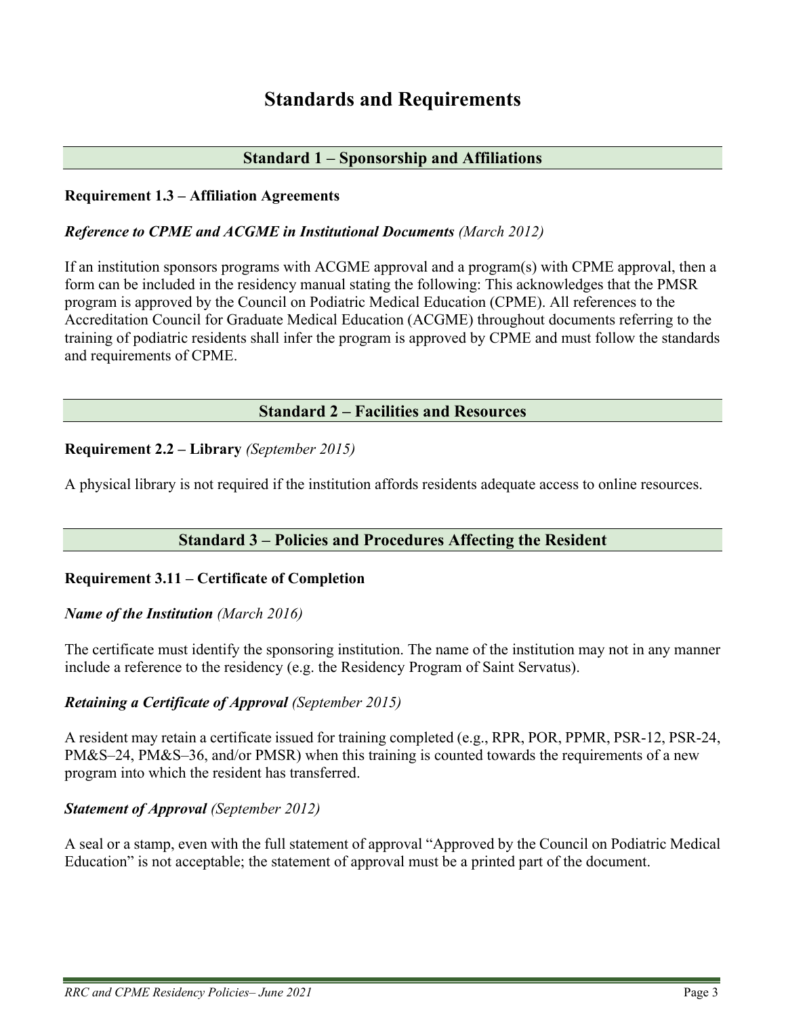# **Standards and Requirements**

## **Standard 1 – Sponsorship and Affiliations**

### <span id="page-2-2"></span><span id="page-2-1"></span><span id="page-2-0"></span>**Requirement 1.3 – Affiliation Agreements**

### <span id="page-2-3"></span>*Reference to CPME and ACGME in Institutional Documents (March 2012)*

If an institution sponsors programs with ACGME approval and a program(s) with CPME approval, then a form can be included in the residency manual stating the following: This acknowledges that the PMSR program is approved by the Council on Podiatric Medical Education (CPME). All references to the Accreditation Council for Graduate Medical Education (ACGME) throughout documents referring to the training of podiatric residents shall infer the program is approved by CPME and must follow the standards and requirements of CPME.

## **Standard 2 – Facilities and Resources**

### <span id="page-2-5"></span><span id="page-2-4"></span>**Requirement 2.2 – Library** *(September 2015)*

A physical library is not required if the institution affords residents adequate access to online resources.

# **Standard 3 – Policies and Procedures Affecting the Resident**

### <span id="page-2-7"></span><span id="page-2-6"></span>**Requirement 3.11 – Certificate of Completion**

### <span id="page-2-8"></span>*Name of the Institution (March 2016)*

The certificate must identify the sponsoring institution. The name of the institution may not in any manner include a reference to the residency (e.g. the Residency Program of Saint Servatus).

### <span id="page-2-9"></span>*Retaining a Certificate of Approval (September 2015)*

A resident may retain a certificate issued for training completed (e.g., RPR, POR, PPMR, PSR-12, PSR-24, PM&S–24, PM&S–36, and/or PMSR) when this training is counted towards the requirements of a new program into which the resident has transferred.

### <span id="page-2-10"></span>*Statement of Approval (September 2012)*

A seal or a stamp, even with the full statement of approval "Approved by the Council on Podiatric Medical Education" is not acceptable; the statement of approval must be a printed part of the document.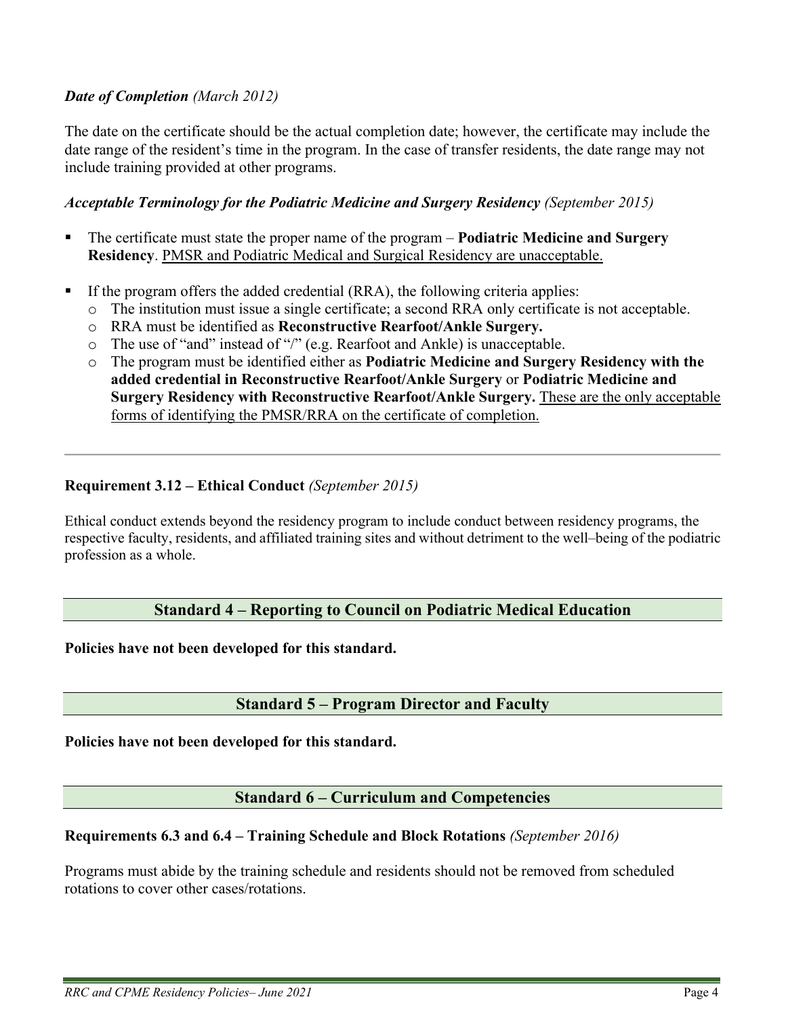## <span id="page-3-0"></span>*Date of Completion (March 2012)*

The date on the certificate should be the actual completion date; however, the certificate may include the date range of the resident's time in the program. In the case of transfer residents, the date range may not include training provided at other programs.

### <span id="page-3-1"></span>*Acceptable Terminology for the Podiatric Medicine and Surgery Residency (September 2015)*

- The certificate must state the proper name of the program **Podiatric Medicine and Surgery Residency**. PMSR and Podiatric Medical and Surgical Residency are unacceptable.
- If the program offers the added credential (RRA), the following criteria applies:
	- o The institution must issue a single certificate; a second RRA only certificate is not acceptable.
	- o RRA must be identified as **Reconstructive Rearfoot/Ankle Surgery.**
	- o The use of "and" instead of "/" (e.g. Rearfoot and Ankle) is unacceptable.
	- o The program must be identified either as **Podiatric Medicine and Surgery Residency with the added credential in Reconstructive Rearfoot/Ankle Surgery** or **Podiatric Medicine and Surgery Residency with Reconstructive Rearfoot/Ankle Surgery.** These are the only acceptable forms of identifying the PMSR/RRA on the certificate of completion.

### <span id="page-3-2"></span>**Requirement 3.12 – Ethical Conduct** *(September 2015)*

Ethical conduct extends beyond the residency program to include conduct between residency programs, the respective faculty, residents, and affiliated training sites and without detriment to the well–being of the podiatric profession as a whole.

### **Standard 4 – Reporting to Council on Podiatric Medical Education**

<span id="page-3-4"></span><span id="page-3-3"></span>**Policies have not been developed for this standard.**

### **Standard 5 – Program Director and Faculty**

<span id="page-3-6"></span><span id="page-3-5"></span>**Policies have not been developed for this standard.**

### **Standard 6 – Curriculum and Competencies**

### <span id="page-3-8"></span><span id="page-3-7"></span>**Requirements 6.3 and 6.4 – Training Schedule and Block Rotations** *(September 2016)*

Programs must abide by the training schedule and residents should not be removed from scheduled rotations to cover other cases/rotations.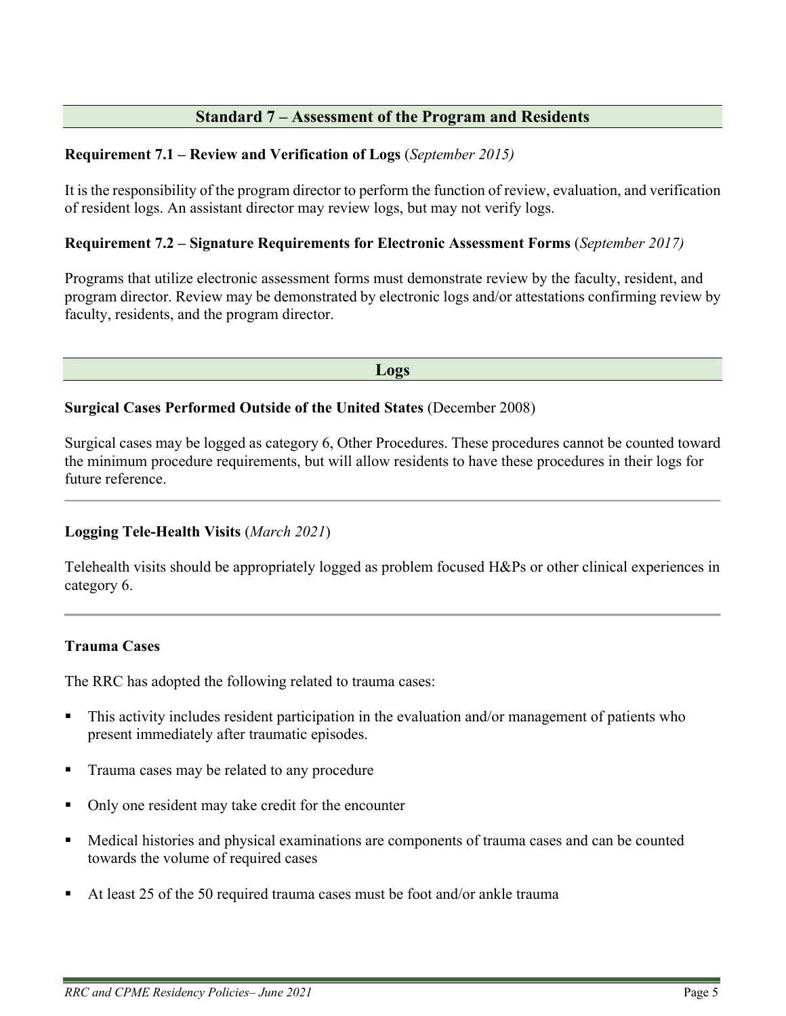# **Standard 7 – Assessment of the Program and Residents**

## <span id="page-4-1"></span><span id="page-4-0"></span>**Requirement 7.1 – Review and Verification of Logs** (*September 2015)*

It is the responsibility of the program director to perform the function of review, evaluation, and verification of resident logs. An assistant director may review logs, but may not verify logs.

## <span id="page-4-2"></span>**Requirement 7.2 – Signature Requirements for Electronic Assessment Forms** (*September 2017)*

Programs that utilize electronic assessment forms must demonstrate review by the faculty, resident, and program director. Review may be demonstrated by electronic logs and/or attestations confirming review by faculty, residents, and the program director.

**Logs**

### <span id="page-4-4"></span><span id="page-4-3"></span>**Surgical Cases Performed Outside of the United States** (December 2008)

Surgical cases may be logged as category 6, Other Procedures. These procedures cannot be counted toward the minimum procedure requirements, but will allow residents to have these procedures in their logs for future reference.

# **Logging Tele-Health Visits** (*March 2021*)

Telehealth visits should be appropriately logged as problem focused H&Ps or other clinical experiences in category 6.

### <span id="page-4-5"></span>**Trauma Cases**

The RRC has adopted the following related to trauma cases:

- This activity includes resident participation in the evaluation and/or management of patients who present immediately after traumatic episodes.
- **Trauma cases may be related to any procedure**
- Only one resident may take credit for the encounter
- Medical histories and physical examinations are components of trauma cases and can be counted towards the volume of required cases
- At least 25 of the 50 required trauma cases must be foot and/or ankle trauma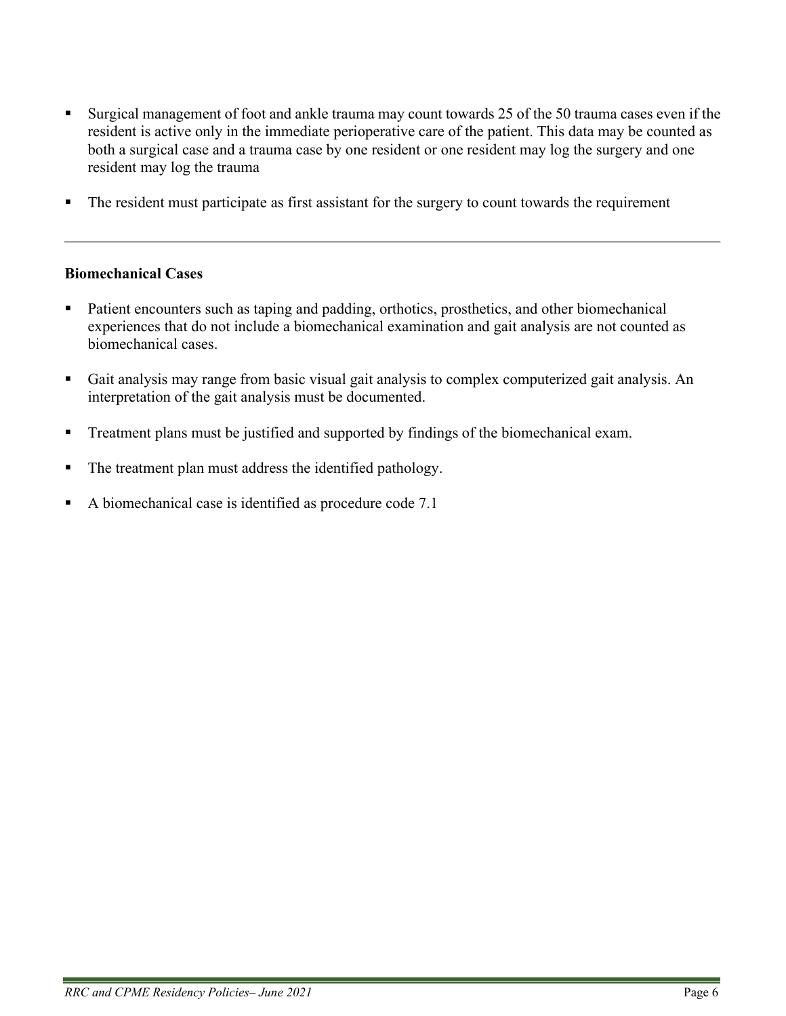- Surgical management of foot and ankle trauma may count towards 25 of the 50 trauma cases even if the resident is active only in the immediate perioperative care of the patient. This data may be counted as both a surgical case and a trauma case by one resident or one resident may log the surgery and one resident may log the trauma
- The resident must participate as first assistant for the surgery to count towards the requirement

### <span id="page-5-0"></span>**Biomechanical Cases**

- Patient encounters such as taping and padding, orthotics, prosthetics, and other biomechanical experiences that do not include a biomechanical examination and gait analysis are not counted as biomechanical cases.
- Gait analysis may range from basic visual gait analysis to complex computerized gait analysis. An interpretation of the gait analysis must be documented.
- **Treatment plans must be justified and supported by findings of the biomechanical exam.**
- The treatment plan must address the identified pathology.
- A biomechanical case is identified as procedure code 7.1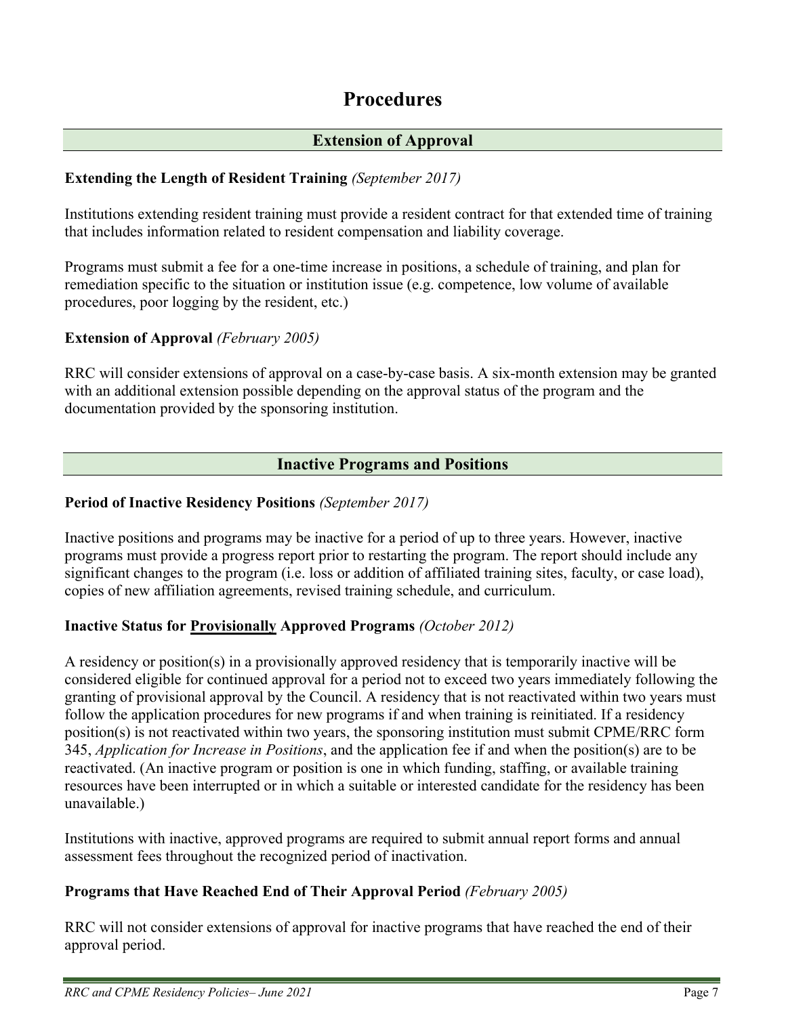# **Procedures**

# **Extension of Approval**

# <span id="page-6-2"></span><span id="page-6-1"></span><span id="page-6-0"></span>**Extending the Length of Resident Training** *(September 2017)*

Institutions extending resident training must provide a resident contract for that extended time of training that includes information related to resident compensation and liability coverage.

Programs must submit a fee for a one-time increase in positions, a schedule of training, and plan for remediation specific to the situation or institution issue (e.g. competence, low volume of available procedures, poor logging by the resident, etc.)

## <span id="page-6-3"></span>**Extension of Approval** *(February 2005)*

RRC will consider extensions of approval on a case-by-case basis. A six-month extension may be granted with an additional extension possible depending on the approval status of the program and the documentation provided by the sponsoring institution.

# **Inactive Programs and Positions**

## <span id="page-6-5"></span><span id="page-6-4"></span>**Period of Inactive Residency Positions** *(September 2017)*

Inactive positions and programs may be inactive for a period of up to three years. However, inactive programs must provide a progress report prior to restarting the program. The report should include any significant changes to the program (i.e. loss or addition of affiliated training sites, faculty, or case load), copies of new affiliation agreements, revised training schedule, and curriculum.

### <span id="page-6-6"></span>**Inactive Status for Provisionally Approved Programs** *(October 2012)*

A residency or position(s) in a provisionally approved residency that is temporarily inactive will be considered eligible for continued approval for a period not to exceed two years immediately following the granting of provisional approval by the Council. A residency that is not reactivated within two years must follow the application procedures for new programs if and when training is reinitiated. If a residency position(s) is not reactivated within two years, the sponsoring institution must submit CPME/RRC form 345, *Application for Increase in Positions*, and the application fee if and when the position(s) are to be reactivated. (An inactive program or position is one in which funding, staffing, or available training resources have been interrupted or in which a suitable or interested candidate for the residency has been unavailable.)

Institutions with inactive, approved programs are required to submit annual report forms and annual assessment fees throughout the recognized period of inactivation.

# <span id="page-6-7"></span>**Programs that Have Reached End of Their Approval Period** *(February 2005)*

RRC will not consider extensions of approval for inactive programs that have reached the end of their approval period.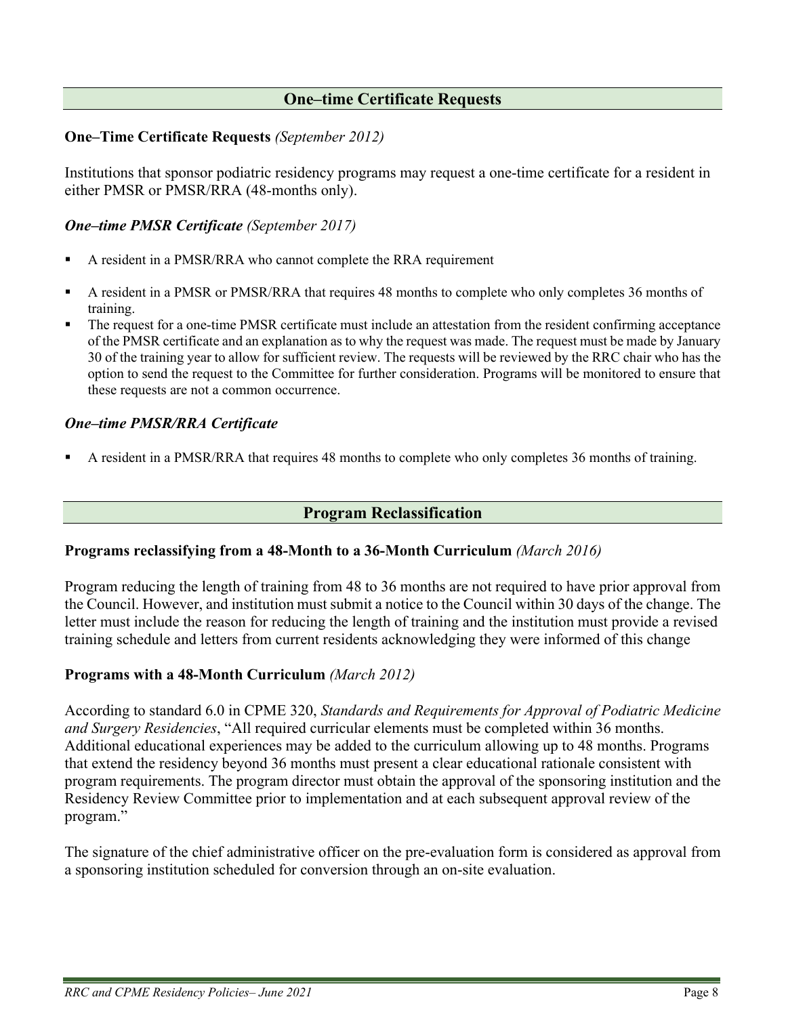# **One–time Certificate Requests**

### <span id="page-7-1"></span><span id="page-7-0"></span>**One–Time Certificate Requests** *(September 2012)*

Institutions that sponsor podiatric residency programs may request a one-time certificate for a resident in either PMSR or PMSR/RRA (48-months only).

### <span id="page-7-2"></span>*One–time PMSR Certificate (September 2017)*

- A resident in a PMSR/RRA who cannot complete the RRA requirement
- A resident in a PMSR or PMSR/RRA that requires 48 months to complete who only completes 36 months of training.
- The request for a one-time PMSR certificate must include an attestation from the resident confirming acceptance of the PMSR certificate and an explanation as to why the request was made. The request must be made by January 30 of the training year to allow for sufficient review. The requests will be reviewed by the RRC chair who has the option to send the request to the Committee for further consideration. Programs will be monitored to ensure that these requests are not a common occurrence.

### <span id="page-7-3"></span>*One–time PMSR/RRA Certificate*

A resident in a PMSR/RRA that requires 48 months to complete who only completes 36 months of training.

### **Program Reclassification**

### <span id="page-7-5"></span><span id="page-7-4"></span>**Programs reclassifying from a 48-Month to a 36-Month Curriculum** *(March 2016)*

Program reducing the length of training from 48 to 36 months are not required to have prior approval from the Council. However, and institution must submit a notice to the Council within 30 days of the change. The letter must include the reason for reducing the length of training and the institution must provide a revised training schedule and letters from current residents acknowledging they were informed of this change

### <span id="page-7-6"></span>**Programs with a 48-Month Curriculum** *(March 2012)*

According to standard 6.0 in CPME 320, *Standards and Requirements for Approval of Podiatric Medicine and Surgery Residencies*, "All required curricular elements must be completed within 36 months. Additional educational experiences may be added to the curriculum allowing up to 48 months. Programs that extend the residency beyond 36 months must present a clear educational rationale consistent with program requirements. The program director must obtain the approval of the sponsoring institution and the Residency Review Committee prior to implementation and at each subsequent approval review of the program."

The signature of the chief administrative officer on the pre-evaluation form is considered as approval from a sponsoring institution scheduled for conversion through an on-site evaluation.